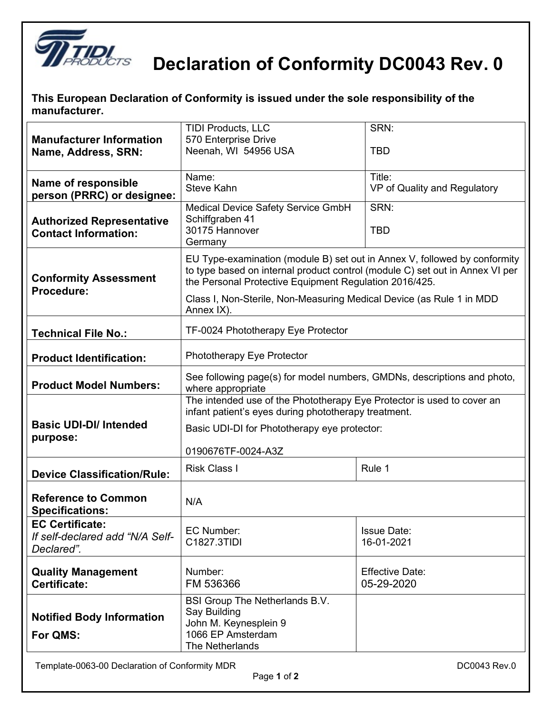

## **Declaration of Conformity DC0043 Rev. 0**

**This European Declaration of Conformity is issued under the sole responsibility of the manufacturer.**

|                                                                 | <b>TIDI Products, LLC</b>                                                                                                      | SRN:                         |  |
|-----------------------------------------------------------------|--------------------------------------------------------------------------------------------------------------------------------|------------------------------|--|
| <b>Manufacturer Information</b>                                 | 570 Enterprise Drive                                                                                                           |                              |  |
| Name, Address, SRN:                                             | Neenah, WI 54956 USA                                                                                                           | <b>TBD</b>                   |  |
|                                                                 | Name:                                                                                                                          | Title:                       |  |
| Name of responsible                                             | <b>Steve Kahn</b>                                                                                                              | VP of Quality and Regulatory |  |
| person (PRRC) or designee:                                      |                                                                                                                                |                              |  |
|                                                                 | Medical Device Safety Service GmbH<br>Schiffgraben 41                                                                          | SRN:                         |  |
| <b>Authorized Representative</b><br><b>Contact Information:</b> | 30175 Hannover                                                                                                                 | <b>TBD</b>                   |  |
|                                                                 | Germany                                                                                                                        |                              |  |
|                                                                 | EU Type-examination (module B) set out in Annex V, followed by conformity                                                      |                              |  |
|                                                                 | to type based on internal product control (module C) set out in Annex VI per                                                   |                              |  |
| <b>Conformity Assessment</b><br>Procedure:                      | the Personal Protective Equipment Regulation 2016/425.                                                                         |                              |  |
|                                                                 | Class I, Non-Sterile, Non-Measuring Medical Device (as Rule 1 in MDD                                                           |                              |  |
|                                                                 | Annex IX).                                                                                                                     |                              |  |
| <b>Technical File No.:</b>                                      | TF-0024 Phototherapy Eye Protector                                                                                             |                              |  |
|                                                                 |                                                                                                                                |                              |  |
| <b>Product Identification:</b>                                  | Phototherapy Eye Protector                                                                                                     |                              |  |
|                                                                 | See following page(s) for model numbers, GMDNs, descriptions and photo,<br>where appropriate                                   |                              |  |
| <b>Product Model Numbers:</b>                                   |                                                                                                                                |                              |  |
|                                                                 | The intended use of the Phototherapy Eye Protector is used to cover an<br>infant patient's eyes during phototherapy treatment. |                              |  |
| <b>Basic UDI-DI/ Intended</b>                                   | Basic UDI-DI for Phototherapy eye protector:                                                                                   |                              |  |
| purpose:                                                        |                                                                                                                                |                              |  |
|                                                                 | 0190676TF-0024-A3Z                                                                                                             |                              |  |
| <b>Device Classification/Rule:</b>                              | <b>Risk Class I</b>                                                                                                            | Rule 1                       |  |
|                                                                 |                                                                                                                                |                              |  |
| <b>Reference to Common</b>                                      | N/A                                                                                                                            |                              |  |
| <b>Specifications:</b>                                          |                                                                                                                                |                              |  |
| <b>EC Certificate:</b><br>If self-declared add "N/A Self-       | EC Number:                                                                                                                     | <b>Issue Date:</b>           |  |
| Declared".                                                      | C1827.3TIDI                                                                                                                    | 16-01-2021                   |  |
|                                                                 |                                                                                                                                |                              |  |
| <b>Quality Management</b>                                       | Number:                                                                                                                        | <b>Effective Date:</b>       |  |
| Certificate:                                                    | FM 536366                                                                                                                      | 05-29-2020                   |  |
|                                                                 | BSI Group The Netherlands B.V.                                                                                                 |                              |  |
| <b>Notified Body Information</b>                                | Say Building<br>John M. Keynesplein 9                                                                                          |                              |  |
|                                                                 |                                                                                                                                |                              |  |
|                                                                 | The Netherlands                                                                                                                |                              |  |
| For QMS:                                                        | 1066 EP Amsterdam                                                                                                              |                              |  |

 $\overline{\phantom{a}}$